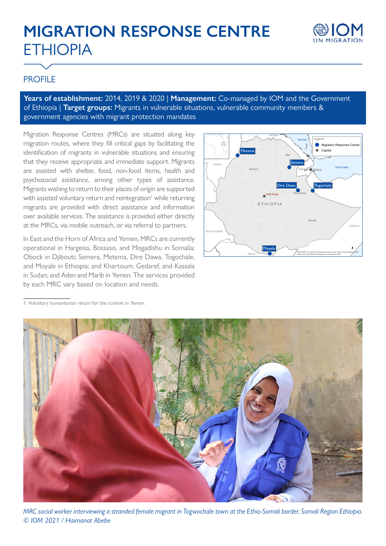# **MIGRATION RESPONSE CENTRE** ETHIOPIA



## PROFILE

**Years of establishment:** 2014, 2019 & 2020 | **Management:** Co-managed by IOM and the Government of Ethiopia | **Target groups:** Migrants in vulnerable situations, vulnerable community members & government agencies with migrant protection mandates

Migration Response Centres (MRCs) are situated along key migration routes, where they fill critical gaps by facilitating the identification of migrants in vulnerable situations and ensuring that they receive appropriate and immediate support. Migrants are assisted with shelter, food, non-food items, health and psychosocial assistance, among other types of assistance. Migrants wishing to return to their places of origin are supported with assisted voluntary return and reintegration<sup>1</sup> while returning migrants are provided with direct assistance and information over available services. The assistance is provided either directly at the MRCs, via mobile outreach, or via referral to partners.

In East and the Horn of Africa and Yemen, MRCs are currently operational in Hargeisa, Bossaso, and Mogadishu in Somalia; Obock in Djibouti; Semera, Metema, Dire Dawa, Togochale, and Moyale in Ethiopia; and Khartoum, Gedaref, and Kassala in Sudan; and Aden and Marib in Yemen. The services provided by each MRC vary based on location and needs.



<sup>1.</sup> Voluntary humanitarian return for the context in Yemen.



*MRC social worker interviewing a stranded female migrant in Togwochale town at the Ethio-Somali border, Somali Region Ethiopia. © IOM 2021 / Haimanot Abebe*